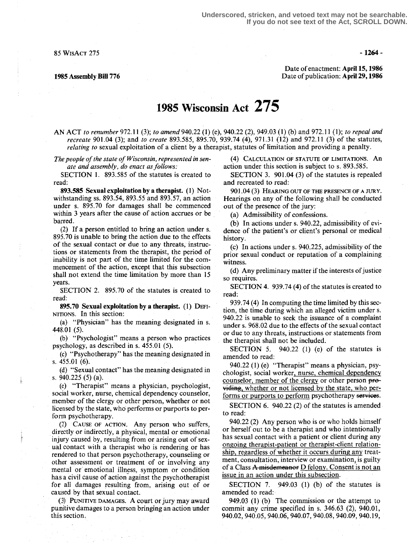$85 \text{ WisACT } 275$  -1264 -

Date of enactment: April 15,1956 1985 Assembly Bill 776 **Date of publication: April 29, 1986** Date of publication: April 29, 1986

## 1985 Wisconsin Act 275

AN ACT to renumber 972.11 (3); to amend 940.22 (1) (e), 940.22 (2), 949.03 (1) (b) and 972.11 (1); to repeal and recreate 901.04 (3); and to create 893.585, 895.70, 939.74 (4), 971.31 (12) and 972.11 (3) of the statutes, relating to sexual exploitation of a client by a therapist, statutes of limitation and providing a penalty.

The people of the state of Wisconsin, represented in senate and assembly, do enact as follows:

SECTION 1. 893.585 of the statutes is created to read:

893.585 Sexual exploitation by a therapist. (1) Notwithstanding ss. 893.54, 893.55 and 893.57, an action under s. 895.70 for damages shall be commenced within 3 years after the cause of action accrues or be barred.

(2) If a person entitled to bring an action under s. 895.70 is unable to bring the action due to the effects of the sexual contact or due to any threats, instructions or statements from the therapist, the period of inability is not part of the time limited for the commencement of the action, except that this subsection shall not extend the time limitation by more than 15 years.

SECTION 2, 895.70 of the statutes is created to read:

895.70 Sexual exploitation by a therapist. (1) DEFr-NITIONS . In this section :

(a) "Physician" has the meaning designated in s. 448.01 (5).

(b) "Psychologist" means a person who practices psychology, as described in s. 455.01 (5).

(c) "Psychotherapy" has the meaning designated in s. 455.01 (6).

(d) "Sexual contact" has the meaning designated in s.  $940.225(5)(a)$ .

(e) "Therapist" means a physician, psychologist, social worker, nurse, chemical dependency counselor, member of the clergy or other person, whether or not licensed by the state, who performs or purports to perform psychotherapy.

(2) CAUSE OF ACTION. Any person who suffers, directly or indirectly, a physical, mental or emotional injury caused by, resulting from or arising out of sexual contact with a therapist who is rendering or has rendered to that person psychotherapy, counseling or other assessment or treatment of or involving any mental or' emotional illness, symptom or condition has a civil cause of action against the psychotherapist for all damages resulting from, arising out of or caused by that sexual contact.

(3) PUNITIVE DAMAGES. A court or jury may award punitive damages to a person bringing an action under this section.

4) CALCULATION OF STATUTE OF LIMITATIONS . An action under this section is subject to s. 893.585.

SECTION 3. 901.04 (3) of the statutes is repealed and recreated to read:

901.04 (3) HEARING OUT OF THE PRESENCE OF A JURY. Hearings on any of the following shall be conducted out of the presence of the jury:

(a) Admissibility of confessions.

(b) In actions under s. 940.22, admissibility of evidence of the patient's or client's personal or medical history.

(c) In actions under s.  $940.225$ , admissibility of the prior sexual conduct or reputation of a complaining witness.

(d) Any preliminary matter if the interests of justice so requires.

SECTION 4. 939.74 (4) of the statutes is created to read:

939.74 (4) In computing the time limited by this section, the time during which an alleged victim under s. 940.22 is unable to seek the issuance of a complaint under s. 968.02 due to the effects of the sexual contact or due to any threats, instructions or statements from the therapist shall not be included.<br>SECTION 5.  $940.22$  (1) (e)

 $940.22$  (1) (e) of the statutes is amended to read:

940.22 (1) (e) "Therapist" means a physician, psychologist, social worker, nurse, chemical dependency counselor, member of the clergy or other person providing, whether or not licensed by the state, who performs or purports to perform psychotherapy services.

SECTION 6. 940.22 (2) of the statutes is amended to read:

940.22 (2) Any person who is or who holds himself or herself out to be a therapist and who intentionally has sexual contact with a patient or client during any ongoing therapist-patient or therapist-client relationship, regardless of whether it occurs during any treatment, consultation, interview or examination, is guilty of a Class A misdemeanor D felony. Consent is not an issue in an action under this subsection.

SECTION 7. 949.03 (1) (b) of the statutes is amended to read:

949.03 (1) (b) The commission or the attempt to commit any crime specified in s. 346.63 (2), 940.01, 940.02, 940.05, 940.06, 940.07, 940 .08, 940 .09, 940.19,